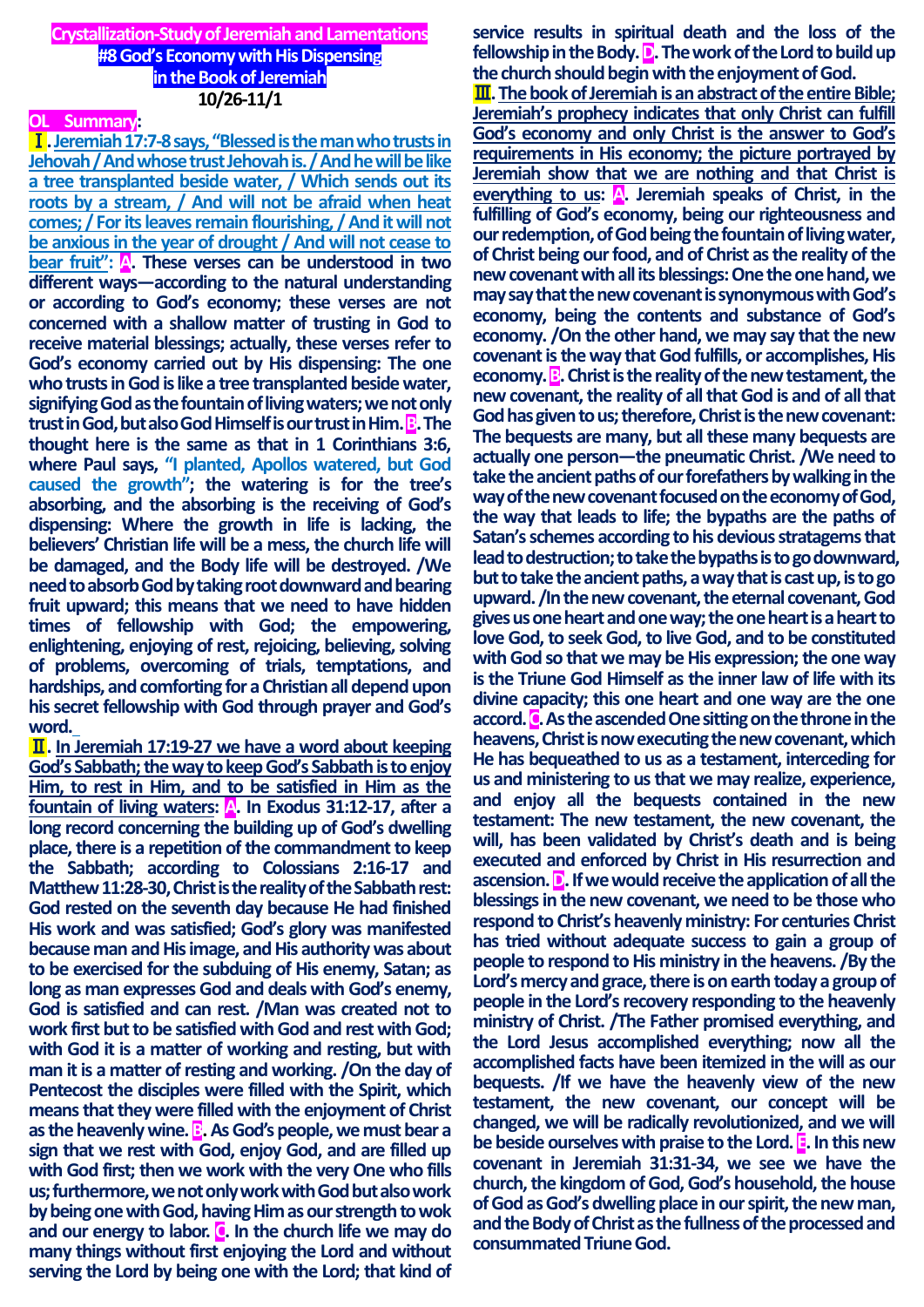# **Crystallization-Study of Jeremiah and Lamentations #8 God's Economy with His Dispensing in the Book of Jeremiah 10/26-11/1**

# **OL Summary:**

Ⅰ**. Jeremiah 17:7-8 says, "Blessed is the man who trusts in Jehovah / And whose trust Jehovah is. / And he will be like a tree transplanted beside water, / Which sends out its roots by a stream, / And will not be afraid when heat comes; / For its leaves remain flourishing, / And it will not be anxious in the year of drought / And will not cease to bear fruit":** A. These verses can be understood in two **different ways—according to the natural understanding or according to God's economy; these verses are not concerned with a shallow matter of trusting in God to receive material blessings; actually, these verses refer to God's economy carried out by His dispensing: The one who trusts in God is like a tree transplanted beside water, signifying God as the fountain of living waters; we not only trust in God, but also God Himself is our trust in Him. B. The thought here is the same as that in 1 Corinthians 3:6, where Paul says, "I planted, Apollos watered, but God caused the growth"; the watering is for the tree's absorbing, and the absorbing is the receiving of God's dispensing: Where the growth in life is lacking, the believers' Christian life will be a mess, the church life will be damaged, and the Body life will be destroyed. /We need to absorb God by taking root downward and bearing fruit upward; this means that we need to have hidden times of fellowship with God; the empowering, enlightening, enjoying of rest, rejoicing, believing, solving of problems, overcoming of trials, temptations, and hardships, and comforting for a Christian all depend upon his secret fellowship with God through prayer and God's word.**

Ⅱ**. In Jeremiah 17:19-27 we have a word about keeping God's Sabbath; the way to keep God's Sabbath is to enjoy Him, to rest in Him, and to be satisfied in Him as the fountain of living waters: A. In Exodus 31:12-17, after a long record concerning the building up of God's dwelling place, there is a repetition of the commandment to keep the Sabbath; according to Colossians 2:16-17 and Matthew 11:28-30, Christ is the reality of the Sabbath rest: God rested on the seventh day because He had finished His work and was satisfied; God's glory was manifested because man and His image, and His authority was about to be exercised for the subduing of His enemy, Satan; as long as man expresses God and deals with God's enemy, God is satisfied and can rest. /Man was created not to work first but to be satisfied with God and rest with God; with God it is a matter of working and resting, but with man it is a matter of resting and working. /On the day of Pentecost the disciples were filled with the Spirit, which means that they were filled with the enjoyment of Christ**  as the heavenly wine. **B**. As God's people, we must bear a **sign that we rest with God, enjoy God, and are filled up with God first; then we work with the very One who fills us; furthermore, we not only work with God but also work by being one with God, having Him as our strength to wok and our energy to labor. C. In the church life we may do many things without first enjoying the Lord and without serving the Lord by being one with the Lord; that kind of** 

**service results in spiritual death and the loss of the**  fellowship in the Body. **D**. The work of the Lord to build up **the church should begin with the enjoyment of God.**

**III**. The book of Jeremiah is an abstract of the entire Bible; **Jeremiah's prophecy indicates that only Christ can fulfill God's economy and only Christ is the answer to God's requirements in His economy; the picture portrayed by Jeremiah show that we are nothing and that Christ is everything to us: A. Jeremiah speaks of Christ, in the fulfilling of God's economy, being our righteousness and our redemption, of God being the fountain of living water, of Christ being our food, and of Christ as the reality of the new covenant with all its blessings:One the one hand, we may say that the new covenant is synonymous with God's economy, being the contents and substance of God's economy. /On the other hand, we may say that the new covenant is the way that God fulfills, or accomplishes, His economy. B.** Christ is the reality of the new testament, the **new covenant, the reality of all that God is and of all that God has given to us; therefore, Christ is the new covenant: The bequests are many, but all these many bequests are actually one person—the pneumatic Christ. /We need to take the ancient paths of our forefathers by walking in the way of the new covenant focused on the economy of God, the way that leads to life; the bypaths are the paths of Satan's schemes according to his devious stratagems that lead to destruction; to take the bypaths is to go downward, but to take the ancient paths, a way that is cast up, is to go upward. /In the new covenant, the eternal covenant, God gives us one heart and one way; the one heart is a heart to love God, to seek God, to live God, and to be constituted with God so that we may be His expression; the one way is the Triune God Himself as the inner law of life with its divine capacity; this one heart and one way are the one accord. C. As the ascended One sitting on the throne in the heavens, Christ is now executing the new covenant, which He has bequeathed to us as a testament, interceding for us and ministering to us that we may realize, experience, and enjoy all the bequests contained in the new testament: The new testament, the new covenant, the will, has been validated by Christ's death and is being executed and enforced by Christ in His resurrection and ascension. D. If we would receive the application of all the blessings in the new covenant, we need to be those who respond to Christ's heavenly ministry: For centuries Christ has tried without adequate success to gain a group of people to respond to His ministry in the heavens. /By the Lord's mercy and grace, there is on earth today a group of people in the Lord's recovery responding to the heavenly ministry of Christ. /The Father promised everything, and the Lord Jesus accomplished everything; now all the accomplished facts have been itemized in the will as our bequests. /If we have the heavenly view of the new testament, the new covenant, our concept will be changed, we will be radically revolutionized, and we will be beside ourselves with praise to the Lord. E. In this new covenant in Jeremiah 31:31-34, we see we have the church, the kingdom of God, God's household, the house of God as God's dwelling place in our spirit, the new man, and the Body of Christ as the fullness of the processed and consummated Triune God.**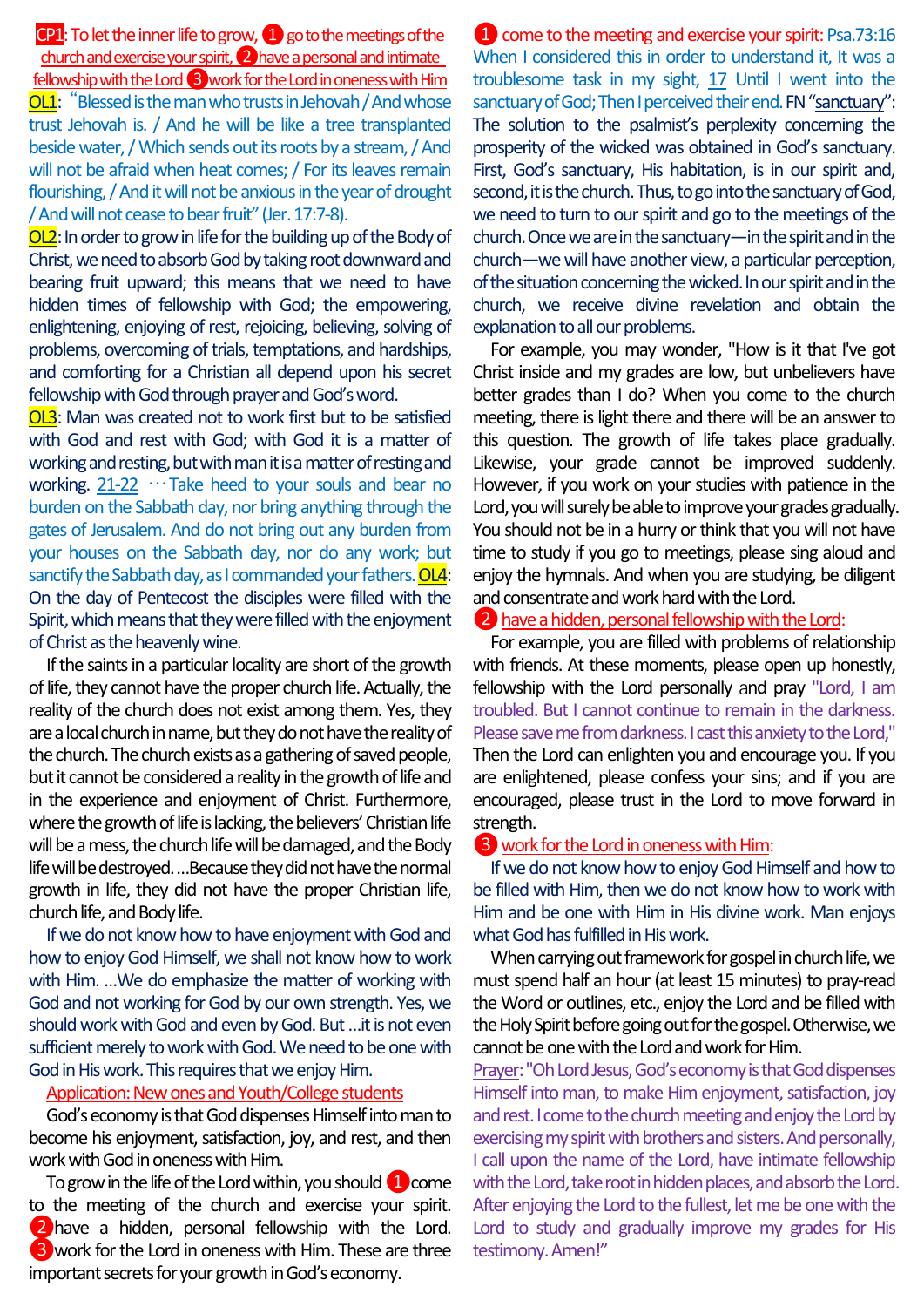CP1: To let the inner life to grow,  $\Box$  go to the meetings of the church and exercise your spirit, (2) have a personal and intimate fellowship with the Lord 3 work for the Lord in oneness with Him **OL1**: "Blessed is the man who trusts in Jehovah / And whose trust Jehovah is. / And he will be like a tree transplanted beside water, / Which sends out its roots by a stream, / And will not be afraid when heat comes; / For its leaves remain flourishing, / And it will not be anxious in the year of drought / And will not cease to bear fruit" (Jer. 17:7-8).

OL2: In order to grow in life for the building up of the Body of Christ, we need to absorb God by taking root downward and bearing fruit upward; this means that we need to have hidden times of fellowship with God; the empowering, enlightening, enjoying of rest, rejoicing, believing, solving of problems, overcoming of trials, temptations, and hardships, and comforting for a Christian all depend upon his secret fellowship with God through prayer and God's word.

OL3: Man was created not to work first but to be satisfied with God and rest with God; with God it is a matter of working and resting, but with man it is a matter of resting and working. 21-22 …Take heed to your souls and bear no burden on the Sabbath day, nor bring anything through the gates of Jerusalem. And do not bring out any burden from your houses on the Sabbath day, nor do any work; but sanctify the Sabbath day, as I commanded your fathers. OL4: On the day of Pentecost the disciples were filled with the Spirit, which means that they were filled with the enjoyment of Christ as the heavenly wine.

If the saints in a particular locality are short of the growth of life, they cannot have the proper church life. Actually, the reality of the church does not exist among them. Yes, they are a local church in name, but they do not have the reality of the church. The church exists as a gathering of saved people, but it cannot be considered a reality in the growth of life and in the experience and enjoyment of Christ. Furthermore, where the growth of life is lacking, the believers' Christian life will be a mess, the church life will be damaged, and the Body life will be destroyed. …Because they did not have the normal growth in life, they did not have the proper Christian life, church life, and Body life.

If we do not know how to have enjoyment with God and how to enjoy God Himself, we shall not know how to work with Him. …We do emphasize the matter of working with God and not working for God by our own strength. Yes, we should work with God and even by God. But …it is not even sufficient merely to work with God. We need to be one with God in His work. This requires that we enjoy Him.

#### Application: Newones and Youth/College students

God's economy is that God dispenses Himself into man to become his enjoyment, satisfaction, joy, and rest, and then work with God in oneness with Him.

To grow in the life of the Lord within, you should  $\Box$  come to the meeting of the church and exercise your spirit. ❷have a hidden, personal fellowship with the Lord. ❸work for the Lord in oneness with Him. These are three important secrets for your growth inGod's economy.

**1** come to the meeting and exercise your spirit: Psa.73:16 When I considered this in order to understand it, It was a troublesome task in my sight, 17 Until I went into the sanctuary of God; Then I perceived their end. FN "sanctuary": The solution to the psalmist's perplexity concerning the prosperity of the wicked was obtained in God's sanctuary. First, God's sanctuary, His habitation, is in our spirit and, second, it is the church. Thus, to go into the sanctuary of God, we need to turn to our spirit and go to the meetings of the church. Once we are in the sanctuary—in the spirit and in the church—we will have another view, a particular perception, of the situation concerning the wicked. In our spirit and in the church, we receive divine revelation and obtain the explanation to all our problems.

For example, you may wonder, "How is it that I've got Christ inside and my grades are low, but unbelievers have better grades than I do? When you come to the church meeting, there is light there and there will be an answer to this question. The growth of life takes place gradually. Likewise, your grade cannot be improved suddenly. However, if you work on your studies with patience in the Lord, you will surely be able to improve your grades gradually. You should not be in a hurry or think that you will not have time to study if you go to meetings, please sing aloud and enjoy the hymnals. And when you are studying, be diligent and consentrate and work hard with the Lord.

#### ❷have a hidden, personal fellowship with the Lord:

For example, you are filled with problems of relationship with friends. At these moments, please open up honestly, fellowship with the Lord personally and pray "Lord, I am troubled. But I cannot continue to remain in the darkness. Please save me from darkness. I cast thisanxiety to the Lord," Then the Lord can enlighten you and encourage you. If you are enlightened, please confess your sins; and if you are encouraged, please trust in the Lord to move forward in strength.

## ❸work for the Lord in oneness with Him:

If we do not know how to enjoy God Himself and how to be filled with Him, then we do not know how to work with Him and be one with Him in His divine work. Man enjoys what God has fulfilled in His work.

When carrying out framework for gospel in church life, we must spend half an hour (at least 15 minutes) to pray-read the Word or outlines, etc., enjoy the Lord and be filled with the Holy Spirit before going out for the gospel. Otherwise, we cannot be one with the Lord and work for Him.

Prayer: "Oh Lord Jesus, God's economy is that God dispenses Himself into man, to make Him enjoyment, satisfaction, joy and rest. I come to the church meeting and enjoy the Lord by exercising my spirit with brothers and sisters. And personally, I call upon the name of the Lord, have intimate fellowship with the Lord, take root in hidden places, and absorb the Lord. After enjoying the Lord to the fullest, let me be one with the Lord to study and gradually improve my grades for His testimony. Amen!"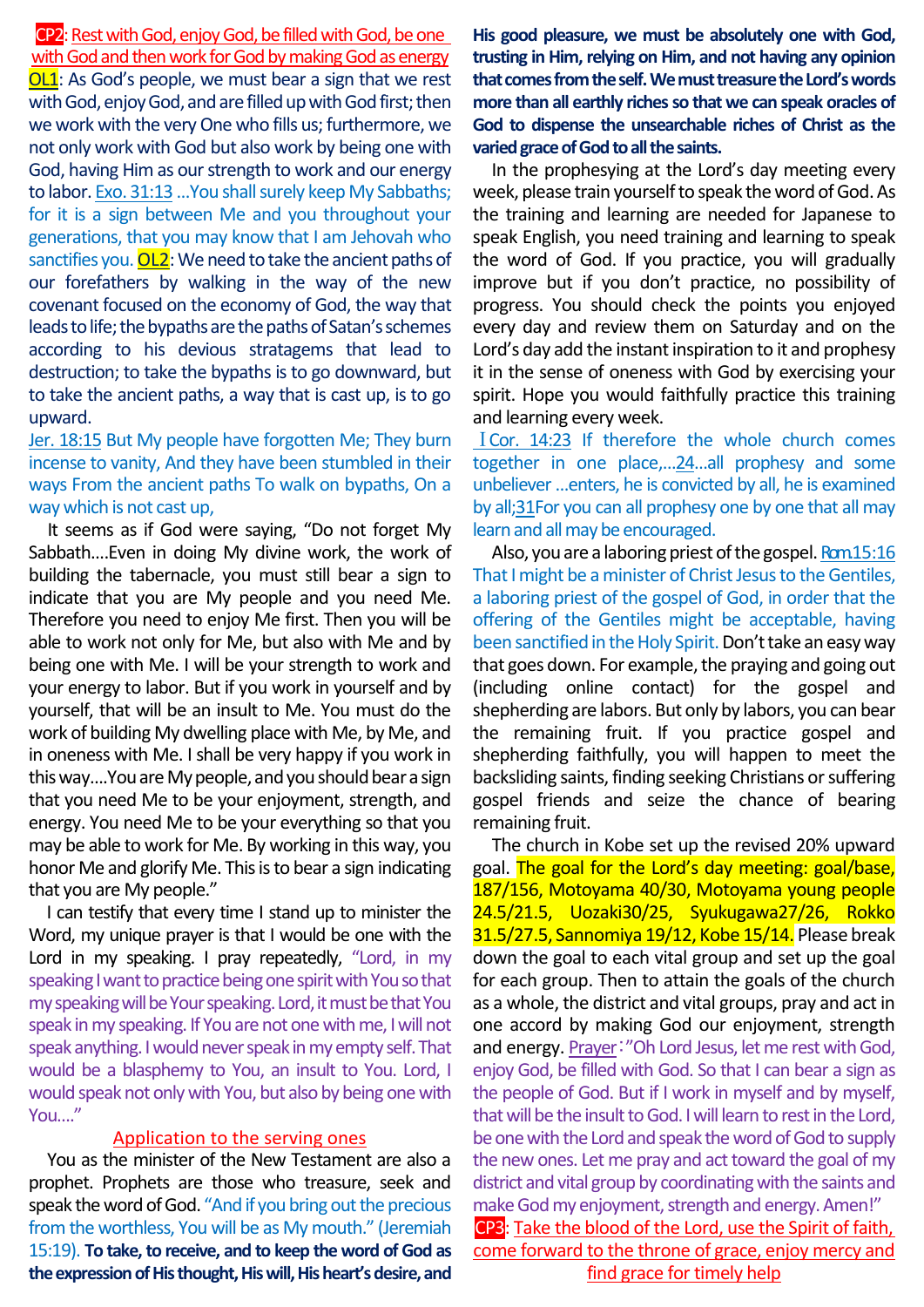**CP2**: Rest with God, enjoy God, be filled with God, be one

with God and then work for God by making God as energy OL1: As God's people, we must bear a sign that we rest with God, enjoy God, and are filled up with God first; then we work with the very One who fills us; furthermore, we not only work with God but also work by being one with God, having Him as our strength to work and our energy to labor. Exo. 31:13 ... You shall surely keep My Sabbaths; for it is a sign between Me and you throughout your generations, that you may know that I am Jehovah who sanctifies you.  $OL2$ : We need to take the ancient paths of our forefathers by walking in the way of the new covenant focused on the economy of God, the way that leads to life; the bypaths are the paths of Satan's schemes according to his devious stratagems that lead to destruction; to take the bypaths is to go downward, but to take the ancient paths, a way that is cast up, is to go upward.

Jer. 18:15 But My people have forgotten Me; They burn incense to vanity, And they have been stumbled in their ways From the ancient paths To walk on bypaths, On a way which is not cast up,

It seems as if God were saying, "Do not forget My Sabbath….Even in doing My divine work, the work of building the tabernacle, you must still bear a sign to indicate that you are My people and you need Me. Therefore you need to enjoy Me first. Then you will be able to work not only for Me, but also with Me and by being one with Me. I will be your strength to work and your energy to labor. But if you work in yourself and by yourself, that will be an insult to Me. You must do the work of building My dwelling place with Me, by Me, and in oneness with Me. I shall be very happy if you work in this way….You are My people, and you should bear a sign that you need Me to be your enjoyment, strength, and energy. You need Me to be your everything so that you may be able to work for Me. By working in this way, you honor Me and glorify Me. This is to bear a sign indicating that you are My people."

I can testify that every time I stand up to minister the Word, my unique prayer is that I would be one with the Lord in my speaking. I pray repeatedly, "Lord, in my speaking I want to practice being one spirit with You so that my speaking will be Your speaking. Lord, it must be that You speak in my speaking. If You are not one with me, I will not speak anything. I would never speak in my empty self. That would be a blasphemy to You, an insult to You. Lord, I would speak not only with You, but also by being one with You…."

## Application to the serving ones

You as the minister of the New Testament are also a prophet. Prophets are those who treasure, seek and speak the word of God. "And if you bring out the precious from the worthless, You will be as My mouth." (Jeremiah 15:19). **To take, to receive, and to keep the word of God as the expression of His thought, His will, His heart's desire, and** 

**His good pleasure, we must be absolutely one with God, trusting in Him, relying on Him, and not having any opinion that comes from the self.We must treasure the Lord's words more than all earthly riches so that we can speak oracles of God to dispense the unsearchable riches of Christ as the varied grace of God to all the saints.**

In the prophesying at the Lord's day meeting every week, please train yourself to speak the word of God. As the training and learning are needed for Japanese to speak English, you need training and learning to speak the word of God. If you practice, you will gradually improve but if you don't practice, no possibility of progress. You should check the points you enjoyed every day and review them on Saturday and on the Lord's day add the instant inspiration to it and prophesy it in the sense of oneness with God by exercising your spirit. Hope you would faithfully practice this training and learning every week.

ⅠCor. 14:23 If therefore the whole church comes together in one place,…24…all prophesy and some unbeliever …enters, he is convicted by all, he is examined by all;31For you can all prophesy one by one that all may learn and all may be encouraged.

Also, you are a laboring priest of the gospel. Rom 15:16 That I might be a minister of Christ Jesus to the Gentiles, a laboring priest of the gospel of God, in order that the offering of the Gentiles might be acceptable, having been sanctified in the Holy Spirit. Don't take an easy way that goes down. For example, the praying and going out (including online contact) for the gospel and shepherding are labors. But only by labors, you can bear the remaining fruit. If you practice gospel and shepherding faithfully, you will happen to meet the backsliding saints, finding seeking Christians or suffering gospel friends and seize the chance of bearing remaining fruit.

The church in Kobe set up the revised 20% upward goal. The goal for the Lord's day meeting: goal/base, 187/156, Motoyama 40/30, Motoyama young people 24.5/21.5, Uozaki30/25, Syukugawa27/26, Rokko 31.5/27.5, Sannomiya 19/12, Kobe 15/14. Please break down the goal to each vital group and set up the goal for each group. Then to attain the goals of the church as a whole, the district and vital groups, pray and act in one accord by making God our enjoyment, strength and energy. Prayer:"Oh Lord Jesus, let me rest with God, enjoy God, be filled with God. So that I can bear a sign as the people of God. But if I work in myself and by myself, thatwill be the insult to God. I will learn to rest in the Lord, be one with the Lord and speak the word of God to supply the new ones. Let me pray and act toward the goal of my district and vital group by coordinating with the saints and make God my enjoyment, strength and energy. Amen!" CP3: Take the blood of the Lord, use the Spirit of faith, come forward to the throne of grace, enjoy mercy and find grace for timely help